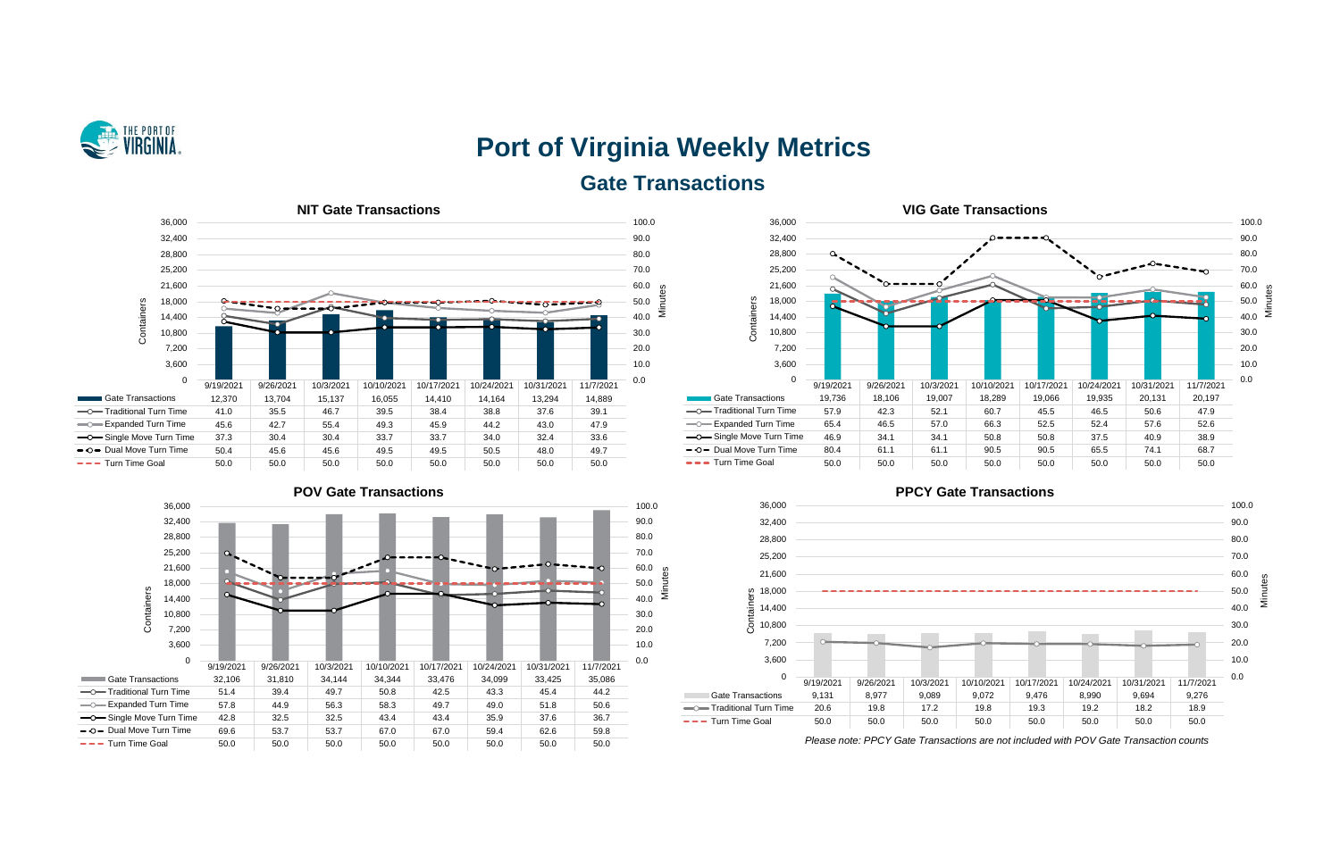

# **Port of Virginia Weekly Metrics Gate Transactions**











*Please note: PPCY Gate Transactions are not included with POV Gate Transaction counts*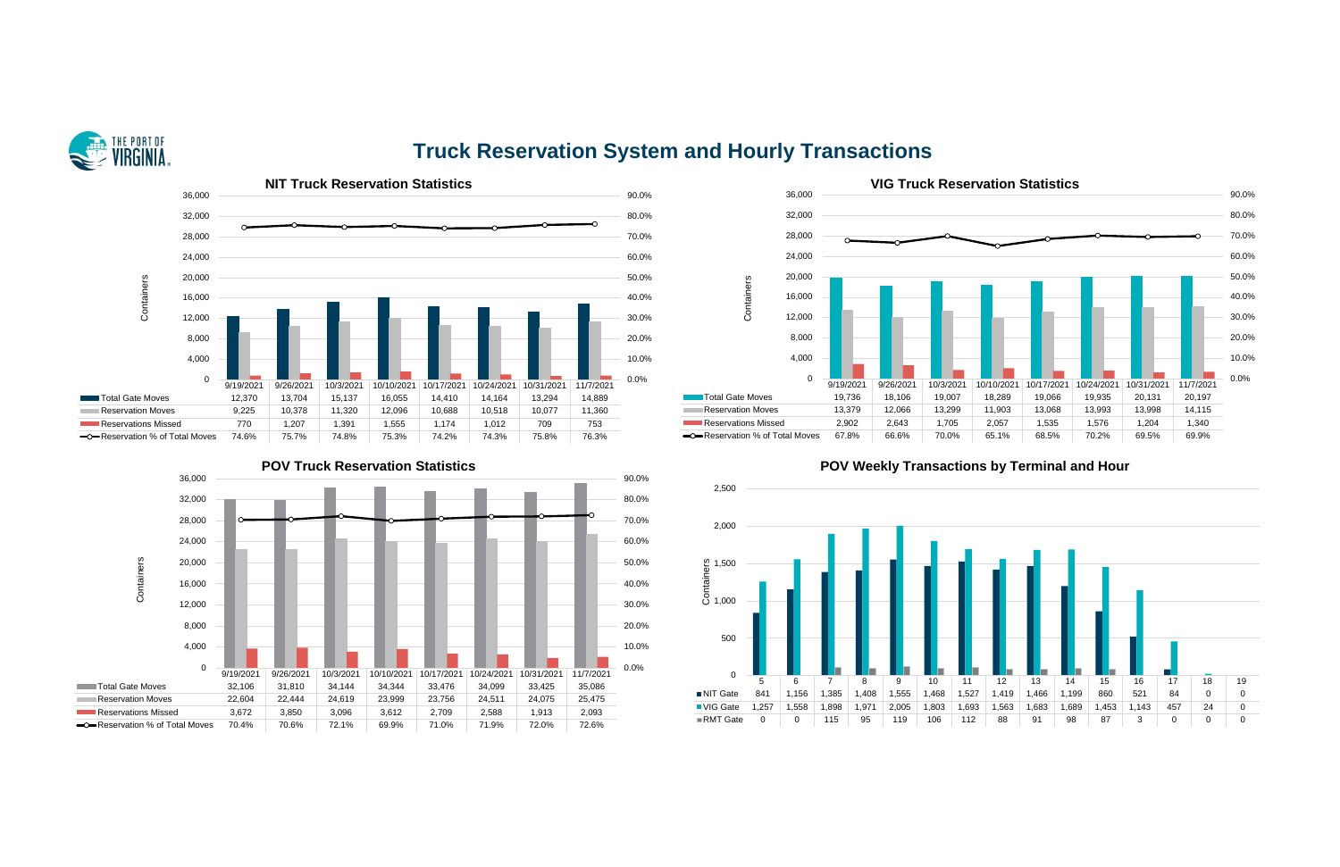

## **Truck Reservation System and Hourly Transactions**







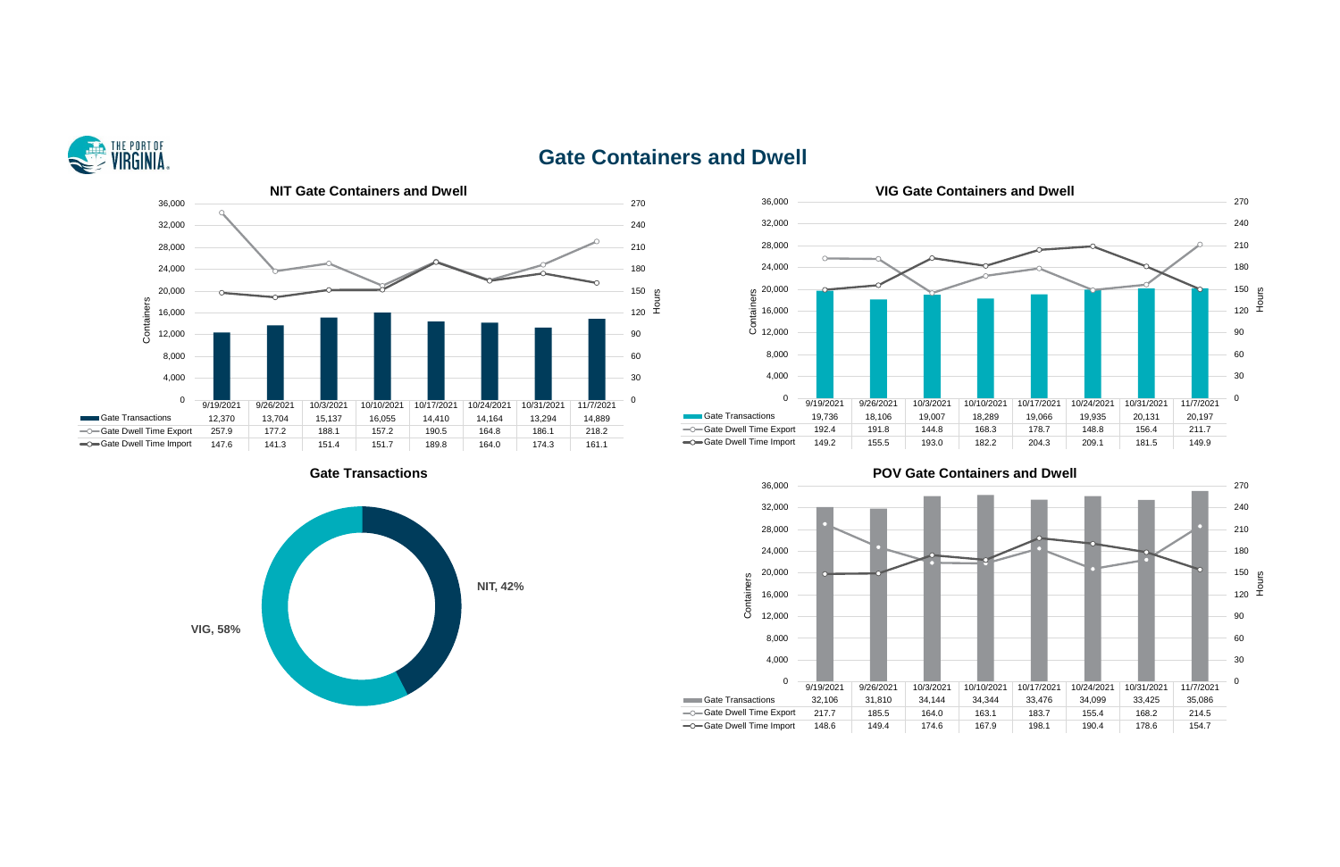

### **Gate Containers and Dwell**







### **Cate Transactions Containers and Dwell**